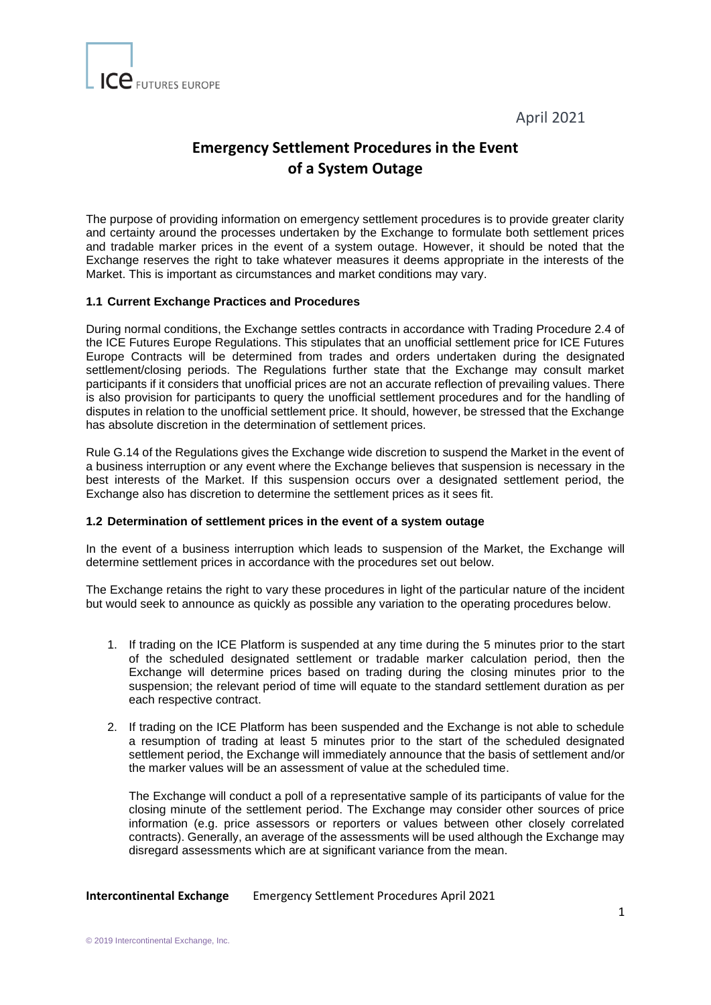April 2021



## **Emergency Settlement Procedures in the Event of a System Outage**

The purpose of providing information on emergency settlement procedures is to provide greater clarity and certainty around the processes undertaken by the Exchange to formulate both settlement prices and tradable marker prices in the event of a system outage. However, it should be noted that the Exchange reserves the right to take whatever measures it deems appropriate in the interests of the Market. This is important as circumstances and market conditions may vary.

## **1.1 Current Exchange Practices and Procedures**

During normal conditions, the Exchange settles contracts in accordance with Trading Procedure 2.4 of the ICE Futures Europe Regulations. This stipulates that an unofficial settlement price for ICE Futures Europe Contracts will be determined from trades and orders undertaken during the designated settlement/closing periods. The Regulations further state that the Exchange may consult market participants if it considers that unofficial prices are not an accurate reflection of prevailing values. There is also provision for participants to query the unofficial settlement procedures and for the handling of disputes in relation to the unofficial settlement price. It should, however, be stressed that the Exchange has absolute discretion in the determination of settlement prices.

Rule G.14 of the Regulations gives the Exchange wide discretion to suspend the Market in the event of a business interruption or any event where the Exchange believes that suspension is necessary in the best interests of the Market. If this suspension occurs over a designated settlement period, the Exchange also has discretion to determine the settlement prices as it sees fit.

## **1.2 Determination of settlement prices in the event of a system outage**

In the event of a business interruption which leads to suspension of the Market, the Exchange will determine settlement prices in accordance with the procedures set out below.

The Exchange retains the right to vary these procedures in light of the particular nature of the incident but would seek to announce as quickly as possible any variation to the operating procedures below.

- 1. If trading on the ICE Platform is suspended at any time during the 5 minutes prior to the start of the scheduled designated settlement or tradable marker calculation period, then the Exchange will determine prices based on trading during the closing minutes prior to the suspension; the relevant period of time will equate to the standard settlement duration as per each respective contract.
- 2. If trading on the ICE Platform has been suspended and the Exchange is not able to schedule a resumption of trading at least 5 minutes prior to the start of the scheduled designated settlement period, the Exchange will immediately announce that the basis of settlement and/or the marker values will be an assessment of value at the scheduled time.

The Exchange will conduct a poll of a representative sample of its participants of value for the closing minute of the settlement period. The Exchange may consider other sources of price information (e.g. price assessors or reporters or values between other closely correlated contracts). Generally, an average of the assessments will be used although the Exchange may disregard assessments which are at significant variance from the mean.

**Intercontinental Exchange** Emergency Settlement Procedures April 2021